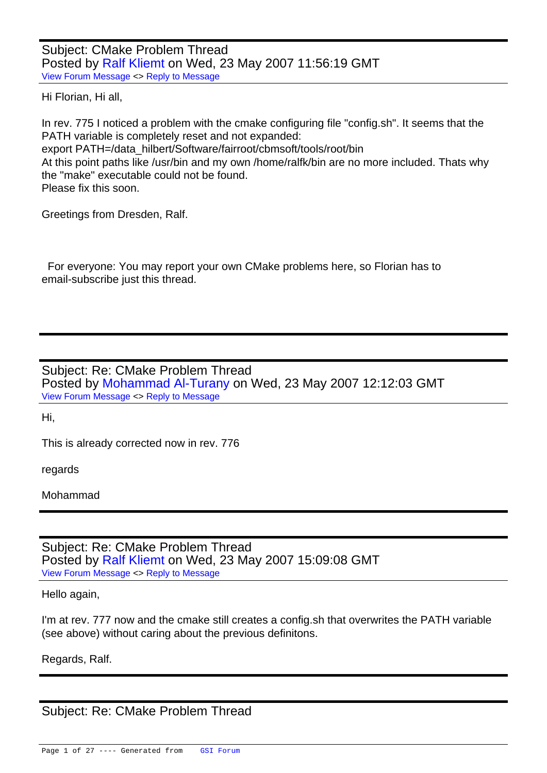Subject: CMake Problem Thread Posted by Ralf Kliemt on Wed, 23 May 2007 11:56:19 GMT View Forum Message <> Reply to Message

Hi Florian, Hi all,

[In rev. 775 I notice](https://forum.gsi.de/index.php?t=rview&th=1322&goto=4308#msg_4308)d [a problem with th](https://forum.gsi.de/index.php?t=post&reply_to=4308)e cmake configuring file "config.sh". It seems that the PATH variable is completely reset and not expanded: export PATH=/data\_hilbert/Software/fairroot/cbmsoft/tools/root/bin At this point paths like /usr/bin and my own /home/ralfk/bin are no more included. Thats why the "make" executable could not be found. Please fix this soon.

Greetings from Dresden, Ralf.

 For everyone: You may report your own CMake problems here, so Florian has to email-subscribe just this thread.

Subject: Re: CMake Problem Thread Posted by Mohammad Al-Turany on Wed, 23 May 2007 12:12:03 GMT View Forum Message <> Reply to Message

Hi,

[This is already cor](https://forum.gsi.de/index.php?t=rview&th=1322&goto=4310#msg_4310)re[cted now in rev.](https://forum.gsi.de/index.php?t=post&reply_to=4310) 776

regards

Mohammad

Subject: Re: CMake Problem Thread Posted by Ralf Kliemt on Wed, 23 May 2007 15:09:08 GMT View Forum Message <> Reply to Message

Hello again,

[I'm at rev. 777 now](https://forum.gsi.de/index.php?t=rview&th=1322&goto=4313#msg_4313) a[nd the cmake st](https://forum.gsi.de/index.php?t=post&reply_to=4313)ill creates a config.sh that overwrites the PATH variable (see above) without caring about the previous definitons.

Regards, Ralf.

Subject: Re: CMake Problem Thread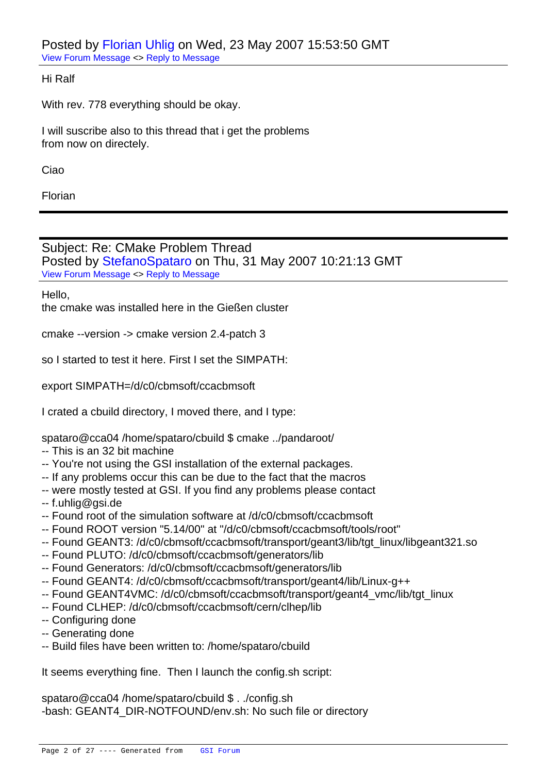Posted by Florian Uhlig on Wed, 23 May 2007 15:53:50 GMT View Forum Message <> Reply to Message

Hi Ralf

[With rev. 778 ever](https://forum.gsi.de/index.php?t=rview&th=1322&goto=4315#msg_4315)yth[ing should be o](https://forum.gsi.de/index.php?t=post&reply_to=4315)kay.

I will suscribe also to this thread that i get the problems from now on directely.

Ciao

Florian

Subject: Re: CMake Problem Thread Posted by StefanoSpataro on Thu, 31 May 2007 10:21:13 GMT View Forum Message <> Reply to Message

Hello,

the cmake [was installed here in](https://forum.gsi.de/index.php?t=usrinfo&id=306) the Gießen cluster

cmake --version -> cmake version 2.4-patch 3

so I started to test it here. First I set the SIMPATH:

export SIMPATH=/d/c0/cbmsoft/ccacbmsoft

I crated a cbuild directory, I moved there, and I type:

spataro@cca04 /home/spataro/cbuild \$ cmake ../pandaroot/

- -- This is an 32 bit machine
- -- You're not using the GSI installation of the external packages.
- -- If any problems occur this can be due to the fact that the macros
- -- were mostly tested at GSI. If you find any problems please contact
- -- f.uhlig@gsi.de
- -- Found root of the simulation software at /d/c0/cbmsoft/ccacbmsoft
- -- Found ROOT version "5.14/00" at "/d/c0/cbmsoft/ccacbmsoft/tools/root"
- -- Found GEANT3: /d/c0/cbmsoft/ccacbmsoft/transport/geant3/lib/tgt\_linux/libgeant321.so
- -- Found PLUTO: /d/c0/cbmsoft/ccacbmsoft/generators/lib
- -- Found Generators: /d/c0/cbmsoft/ccacbmsoft/generators/lib
- -- Found GEANT4: /d/c0/cbmsoft/ccacbmsoft/transport/geant4/lib/Linux-g++
- -- Found GEANT4VMC: /d/c0/cbmsoft/ccacbmsoft/transport/geant4\_vmc/lib/tgt\_linux
- -- Found CLHEP: /d/c0/cbmsoft/ccacbmsoft/cern/clhep/lib
- -- Configuring done
- -- Generating done
- -- Build files have been written to: /home/spataro/cbuild

It seems everything fine. Then I launch the config.sh script:

spataro@cca04 /home/spataro/cbuild \$ . ./config.sh -bash: GEANT4\_DIR-NOTFOUND/env.sh: No such file or directory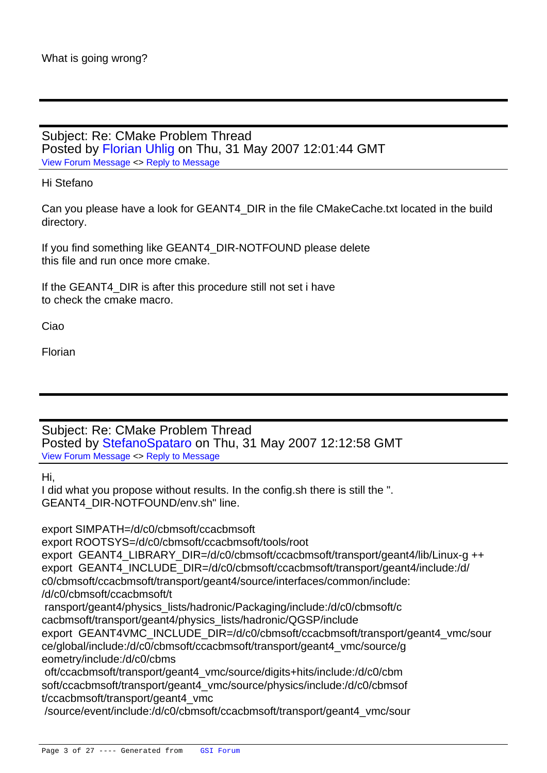Subject: Re: CMake Problem Thread Posted by Florian Uhlig on Thu, 31 May 2007 12:01:44 GMT View Forum Message <> Reply to Message

### Hi Stefano

[Can you please ha](https://forum.gsi.de/index.php?t=rview&th=1322&goto=4393#msg_4393)ve [a look for GEA](https://forum.gsi.de/index.php?t=post&reply_to=4393)NT4\_DIR in the file CMakeCache.txt located in the build directory.

If you find something like GEANT4\_DIR-NOTFOUND please delete this file and run once more cmake.

If the GEANT4\_DIR is after this procedure still not set i have to check the cmake macro.

Ciao

Florian

Subject: Re: CMake Problem Thread Posted by StefanoSpataro on Thu, 31 May 2007 12:12:58 GMT View Forum Message <> Reply to Message

Hi,

I did what y[ou propose without](https://forum.gsi.de/index.php?t=usrinfo&id=306) results. In the config.sh there is still the ". [GEANT4\\_DIR-NO](https://forum.gsi.de/index.php?t=rview&th=1322&goto=4395#msg_4395)TF[OUND/env.sh" l](https://forum.gsi.de/index.php?t=post&reply_to=4395)ine.

export SIMPATH=/d/c0/cbmsoft/ccacbmsoft export ROOTSYS=/d/c0/cbmsoft/ccacbmsoft/tools/root export GEANT4\_LIBRARY\_DIR=/d/c0/cbmsoft/ccacbmsoft/transport/geant4/lib/Linux-g ++ export GEANT4\_INCLUDE\_DIR=/d/c0/cbmsoft/ccacbmsoft/transport/geant4/include:/d/ c0/cbmsoft/ccacbmsoft/transport/geant4/source/interfaces/common/include: /d/c0/cbmsoft/ccacbmsoft/t ransport/geant4/physics\_lists/hadronic/Packaging/include:/d/c0/cbmsoft/c cacbmsoft/transport/geant4/physics\_lists/hadronic/QGSP/include export GEANT4VMC\_INCLUDE\_DIR=/d/c0/cbmsoft/ccacbmsoft/transport/geant4\_vmc/sour ce/global/include:/d/c0/cbmsoft/ccacbmsoft/transport/geant4\_vmc/source/g eometry/include:/d/c0/cbms oft/ccacbmsoft/transport/geant4\_vmc/source/digits+hits/include:/d/c0/cbm soft/ccacbmsoft/transport/geant4\_vmc/source/physics/include:/d/c0/cbmsof t/ccacbmsoft/transport/geant4\_vmc /source/event/include:/d/c0/cbmsoft/ccacbmsoft/transport/geant4\_vmc/sour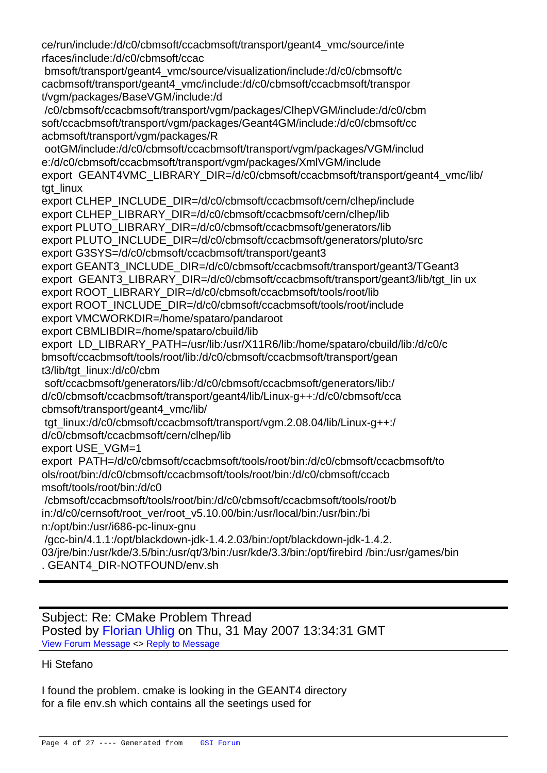ce/run/include:/d/c0/cbmsoft/ccacbmsoft/transport/geant4\_vmc/source/inte rfaces/include:/d/c0/cbmsoft/ccac

 bmsoft/transport/geant4\_vmc/source/visualization/include:/d/c0/cbmsoft/c cacbmsoft/transport/geant4\_vmc/include:/d/c0/cbmsoft/ccacbmsoft/transpor t/vgm/packages/BaseVGM/include:/d

 /c0/cbmsoft/ccacbmsoft/transport/vgm/packages/ClhepVGM/include:/d/c0/cbm soft/ccacbmsoft/transport/vgm/packages/Geant4GM/include:/d/c0/cbmsoft/cc acbmsoft/transport/vgm/packages/R

 ootGM/include:/d/c0/cbmsoft/ccacbmsoft/transport/vgm/packages/VGM/includ e:/d/c0/cbmsoft/ccacbmsoft/transport/vgm/packages/XmlVGM/include export GEANT4VMC\_LIBRARY\_DIR=/d/c0/cbmsoft/ccacbmsoft/transport/geant4\_vmc/lib/ tgt\_linux

export CLHEP\_INCLUDE\_DIR=/d/c0/cbmsoft/ccacbmsoft/cern/clhep/include

export CLHEP\_LIBRARY\_DIR=/d/c0/cbmsoft/ccacbmsoft/cern/clhep/lib

export PLUTO\_LIBRARY\_DIR=/d/c0/cbmsoft/ccacbmsoft/generators/lib

export PLUTO\_INCLUDE\_DIR=/d/c0/cbmsoft/ccacbmsoft/generators/pluto/src

export G3SYS=/d/c0/cbmsoft/ccacbmsoft/transport/geant3

export GEANT3\_INCLUDE\_DIR=/d/c0/cbmsoft/ccacbmsoft/transport/geant3/TGeant3

export GEANT3\_LIBRARY\_DIR=/d/c0/cbmsoft/ccacbmsoft/transport/geant3/lib/tgt\_lin ux

export ROOT\_LIBRARY\_DIR=/d/c0/cbmsoft/ccacbmsoft/tools/root/lib

export ROOT\_INCLUDE\_DIR=/d/c0/cbmsoft/ccacbmsoft/tools/root/include

export VMCWORKDIR=/home/spataro/pandaroot

export CBMLIBDIR=/home/spataro/cbuild/lib

export LD\_LIBRARY\_PATH=/usr/lib:/usr/X11R6/lib:/home/spataro/cbuild/lib:/d/c0/c

bmsoft/ccacbmsoft/tools/root/lib:/d/c0/cbmsoft/ccacbmsoft/transport/gean

t3/lib/tgt\_linux:/d/c0/cbm

soft/ccacbmsoft/generators/lib:/d/c0/cbmsoft/ccacbmsoft/generators/lib:/

d/c0/cbmsoft/ccacbmsoft/transport/geant4/lib/Linux-g++:/d/c0/cbmsoft/cca cbmsoft/transport/geant4\_vmc/lib/

 tgt\_linux:/d/c0/cbmsoft/ccacbmsoft/transport/vgm.2.08.04/lib/Linux-g++:/ d/c0/cbmsoft/ccacbmsoft/cern/clhep/lib

export USE\_VGM=1

export PATH=/d/c0/cbmsoft/ccacbmsoft/tools/root/bin:/d/c0/cbmsoft/ccacbmsoft/to ols/root/bin:/d/c0/cbmsoft/ccacbmsoft/tools/root/bin:/d/c0/cbmsoft/ccacb msoft/tools/root/bin:/d/c0

 /cbmsoft/ccacbmsoft/tools/root/bin:/d/c0/cbmsoft/ccacbmsoft/tools/root/b in:/d/c0/cernsoft/root\_ver/root\_v5.10.00/bin:/usr/local/bin:/usr/bin:/bi n:/opt/bin:/usr/i686-pc-linux-gnu

 /gcc-bin/4.1.1:/opt/blackdown-jdk-1.4.2.03/bin:/opt/blackdown-jdk-1.4.2. 03/jre/bin:/usr/kde/3.5/bin:/usr/qt/3/bin:/usr/kde/3.3/bin:/opt/firebird /bin:/usr/games/bin . GEANT4\_DIR-NOTFOUND/env.sh

Subject: Re: CMake Problem Thread Posted by Florian Uhlig on Thu, 31 May 2007 13:34:31 GMT View Forum Message <> Reply to Message

## Hi Stefano

[I found the problem](https://forum.gsi.de/index.php?t=rview&th=1322&goto=4398#msg_4398). [cmake is looking](https://forum.gsi.de/index.php?t=post&reply_to=4398) in the GEANT4 directory for a file env.sh which contains all the seetings used for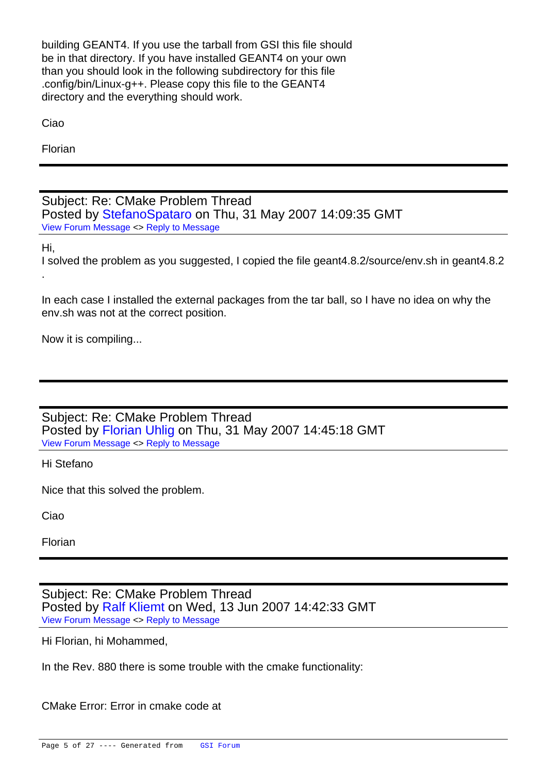building GEANT4. If you use the tarball from GSI this file should be in that directory. If you have installed GEANT4 on your own than you should look in the following subdirectory for this file .config/bin/Linux-g++. Please copy this file to the GEANT4 directory and the everything should work.

Ciao

Florian

Subject: Re: CMake Problem Thread Posted by StefanoSpataro on Thu, 31 May 2007 14:09:35 GMT View Forum Message <> Reply to Message

Hi,

I solved the [problem as you sug](https://forum.gsi.de/index.php?t=usrinfo&id=306)gested, I copied the file geant4.8.2/source/env.sh in geant4.8.2 [.](https://forum.gsi.de/index.php?t=rview&th=1322&goto=4399#msg_4399)

In each case I installed the external packages from the tar ball, so I have no idea on why the env.sh was not at the correct position.

Now it is compiling...

Subject: Re: CMake Problem Thread Posted by Florian Uhlig on Thu, 31 May 2007 14:45:18 GMT View Forum Message <> Reply to Message

Hi Stefano

[Nice that this solve](https://forum.gsi.de/index.php?t=rview&th=1322&goto=4400#msg_4400)d [the problem.](https://forum.gsi.de/index.php?t=post&reply_to=4400)

Ciao

Florian

Subject: Re: CMake Problem Thread Posted by Ralf Kliemt on Wed, 13 Jun 2007 14:42:33 GMT View Forum Message <> Reply to Message

Hi Florian, hi Mohammed,

[In the Rev. 880 the](https://forum.gsi.de/index.php?t=rview&th=1322&goto=4475#msg_4475)re [is some trouble](https://forum.gsi.de/index.php?t=post&reply_to=4475) with the cmake functionality:

CMake Error: Error in cmake code at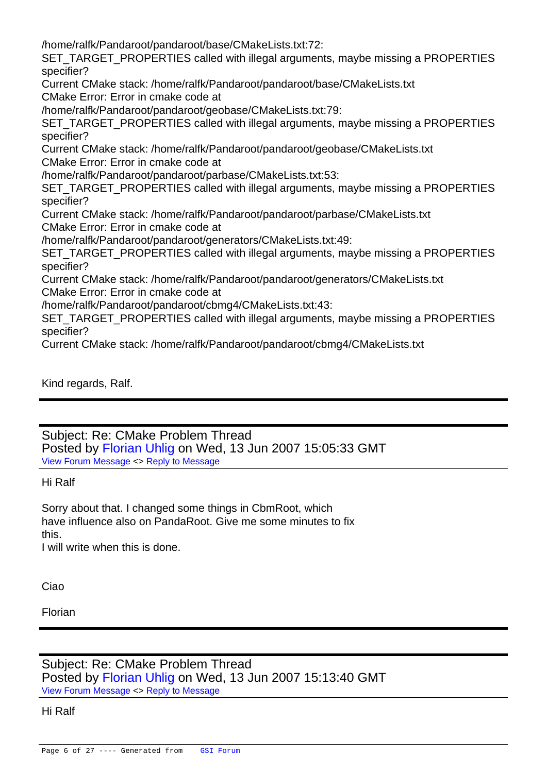/home/ralfk/Pandaroot/pandaroot/base/CMakeLists.txt:72:

SET\_TARGET\_PROPERTIES called with illegal arguments, maybe missing a PROPERTIES specifier?

Current CMake stack: /home/ralfk/Pandaroot/pandaroot/base/CMakeLists.txt

CMake Error: Error in cmake code at

/home/ralfk/Pandaroot/pandaroot/geobase/CMakeLists.txt:79:

SET TARGET PROPERTIES called with illegal arguments, maybe missing a PROPERTIES specifier?

Current CMake stack: /home/ralfk/Pandaroot/pandaroot/geobase/CMakeLists.txt

CMake Error: Error in cmake code at

/home/ralfk/Pandaroot/pandaroot/parbase/CMakeLists.txt:53:

SET\_TARGET\_PROPERTIES called with illegal arguments, maybe missing a PROPERTIES specifier?

Current CMake stack: /home/ralfk/Pandaroot/pandaroot/parbase/CMakeLists.txt

CMake Error: Error in cmake code at

/home/ralfk/Pandaroot/pandaroot/generators/CMakeLists.txt:49:

SET\_TARGET\_PROPERTIES called with illegal arguments, maybe missing a PROPERTIES specifier?

Current CMake stack: /home/ralfk/Pandaroot/pandaroot/generators/CMakeLists.txt CMake Error: Error in cmake code at

/home/ralfk/Pandaroot/pandaroot/cbmg4/CMakeLists.txt:43:

SET\_TARGET\_PROPERTIES called with illegal arguments, maybe missing a PROPERTIES specifier?

Current CMake stack: /home/ralfk/Pandaroot/pandaroot/cbmg4/CMakeLists.txt

Kind regards, Ralf.

Subject: Re: CMake Problem Thread Posted by Florian Uhlig on Wed, 13 Jun 2007 15:05:33 GMT View Forum Message <> Reply to Message

Hi Ralf

[Sorry about that. I](https://forum.gsi.de/index.php?t=rview&th=1322&goto=4477#msg_4477) ch[anged some thin](https://forum.gsi.de/index.php?t=post&reply_to=4477)gs in CbmRoot, which have influence also on PandaRoot. Give me some minutes to fix this.

I will write when this is done.

Ciao

Florian

# Subject: Re: CMake Problem Thread Posted by Florian Uhlig on Wed, 13 Jun 2007 15:13:40 GMT View Forum Message <> Reply to Message

Hi Ralf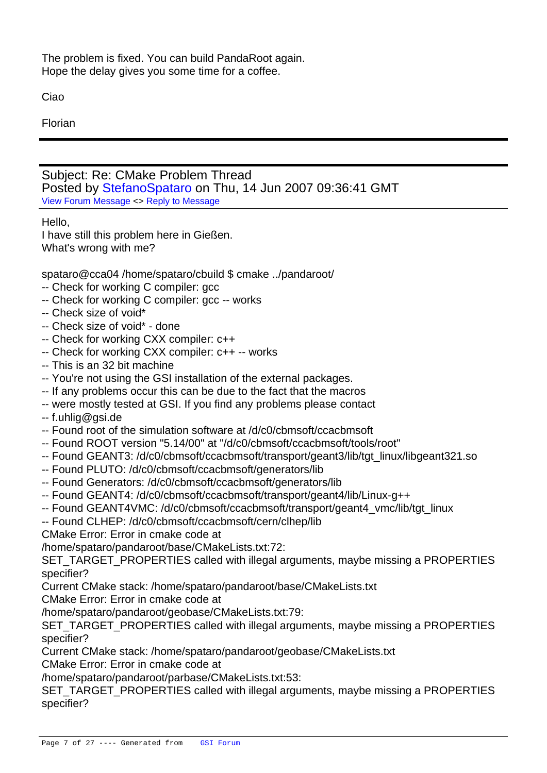The problem is fixed. You can build PandaRoot again. Hope the delay gives you some time for a coffee.

Ciao

Florian

Subject: Re: CMake Problem Thread Posted by StefanoSpataro on Thu, 14 Jun 2007 09:36:41 GMT View Forum Message <> Reply to Message

Hello,

I have still t[his problem here in](https://forum.gsi.de/index.php?t=usrinfo&id=306) Gießen. [What's wrong with](https://forum.gsi.de/index.php?t=rview&th=1322&goto=4484#msg_4484) m[e?](https://forum.gsi.de/index.php?t=post&reply_to=4484)

spataro@cca04 /home/spataro/cbuild \$ cmake ../pandaroot/

- -- Check for working C compiler: gcc
- -- Check for working C compiler: gcc -- works
- -- Check size of void\*
- -- Check size of void\* done
- -- Check for working CXX compiler: c++
- -- Check for working CXX compiler: c++ -- works
- -- This is an 32 bit machine
- -- You're not using the GSI installation of the external packages.
- -- If any problems occur this can be due to the fact that the macros
- -- were mostly tested at GSI. If you find any problems please contact
- -- f.uhlig@gsi.de
- -- Found root of the simulation software at /d/c0/cbmsoft/ccacbmsoft
- -- Found ROOT version "5.14/00" at "/d/c0/cbmsoft/ccacbmsoft/tools/root"
- -- Found GEANT3: /d/c0/cbmsoft/ccacbmsoft/transport/geant3/lib/tgt\_linux/libgeant321.so
- -- Found PLUTO: /d/c0/cbmsoft/ccacbmsoft/generators/lib
- -- Found Generators: /d/c0/cbmsoft/ccacbmsoft/generators/lib
- -- Found GEANT4: /d/c0/cbmsoft/ccacbmsoft/transport/geant4/lib/Linux-g++
- -- Found GEANT4VMC: /d/c0/cbmsoft/ccacbmsoft/transport/geant4\_vmc/lib/tgt\_linux
- -- Found CLHEP: /d/c0/cbmsoft/ccacbmsoft/cern/clhep/lib
- CMake Error: Error in cmake code at

/home/spataro/pandaroot/base/CMakeLists.txt:72:

SET\_TARGET\_PROPERTIES called with illegal arguments, maybe missing a PROPERTIES specifier?

Current CMake stack: /home/spataro/pandaroot/base/CMakeLists.txt

CMake Error: Error in cmake code at

/home/spataro/pandaroot/geobase/CMakeLists.txt:79:

SET\_TARGET\_PROPERTIES called with illegal arguments, maybe missing a PROPERTIES specifier?

Current CMake stack: /home/spataro/pandaroot/geobase/CMakeLists.txt

CMake Error: Error in cmake code at

/home/spataro/pandaroot/parbase/CMakeLists.txt:53:

SET\_TARGET\_PROPERTIES called with illegal arguments, maybe missing a PROPERTIES specifier?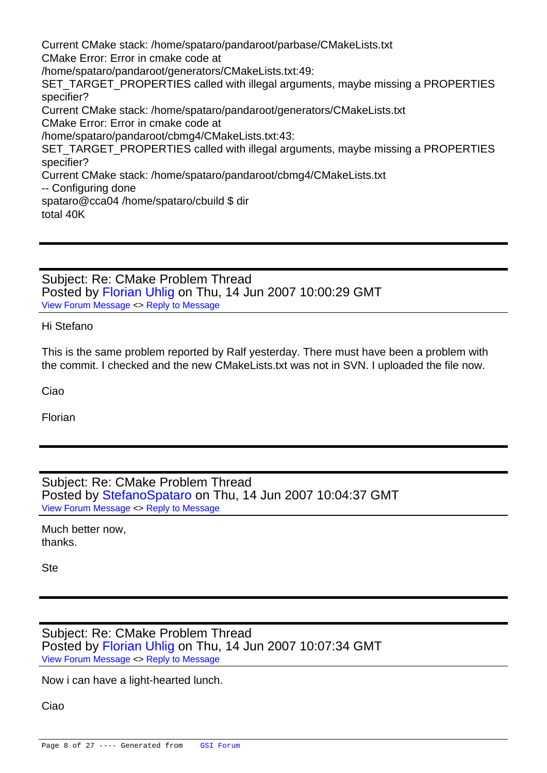Current CMake stack: /home/spataro/pandaroot/parbase/CMakeLists.txt CMake Error: Error in cmake code at /home/spataro/pandaroot/generators/CMakeLists.txt:49: SET\_TARGET\_PROPERTIES called with illegal arguments, maybe missing a PROPERTIES specifier? Current CMake stack: /home/spataro/pandaroot/generators/CMakeLists.txt CMake Error: Error in cmake code at /home/spataro/pandaroot/cbmg4/CMakeLists.txt:43: SET\_TARGET\_PROPERTIES called with illegal arguments, maybe missing a PROPERTIES specifier? Current CMake stack: /home/spataro/pandaroot/cbmg4/CMakeLists.txt -- Configuring done spataro@cca04 /home/spataro/cbuild \$ dir total 40K

Subject: Re: CMake Problem Thread Posted by Florian Uhlig on Thu, 14 Jun 2007 10:00:29 GMT View Forum Message <> Reply to Message

Hi Stefano

[This is the same p](https://forum.gsi.de/index.php?t=rview&th=1322&goto=4485#msg_4485)ro[blem reported by](https://forum.gsi.de/index.php?t=post&reply_to=4485) Ralf yesterday. There must have been a problem with the commit. I checked and the new CMakeLists.txt was not in SVN. I uploaded the file now.

Ciao

Florian

Subject: Re: CMake Problem Thread Posted by StefanoSpataro on Thu, 14 Jun 2007 10:04:37 GMT View Forum Message <> Reply to Message

Much better now, thanks.

Ste

Subject: Re: CMake Problem Thread Posted by Florian Uhlig on Thu, 14 Jun 2007 10:07:34 GMT View Forum Message <> Reply to Message

Now i can have a light-hearted lunch.

[Ciao](https://forum.gsi.de/index.php?t=rview&th=1322&goto=4487#msg_4487)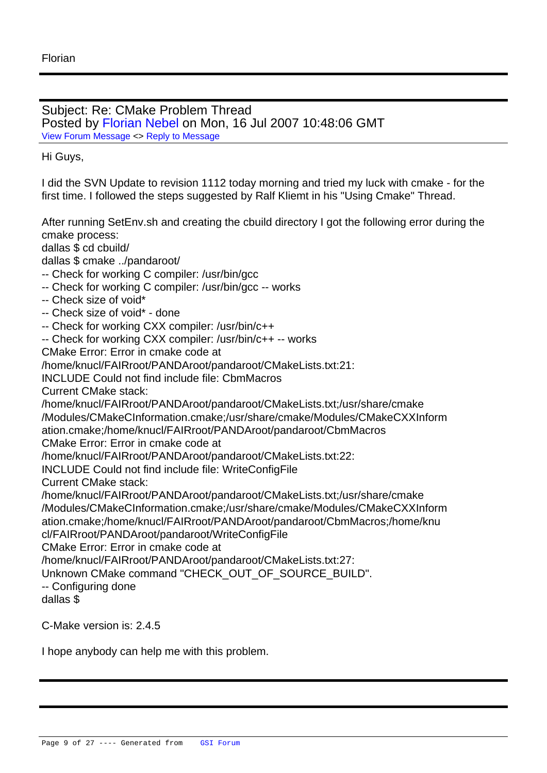Subject: Re: CMake Problem Thread Posted by Florian Nebel on Mon, 16 Jul 2007 10:48:06 GMT View Forum Message <> Reply to Message

Hi Guys,

[I did the SVN Upda](https://forum.gsi.de/index.php?t=rview&th=1322&goto=4673#msg_4673)te [to revision 111](https://forum.gsi.de/index.php?t=post&reply_to=4673)2 today morning and tried my luck with cmake - for the first time. I followed the steps suggested by Ralf Kliemt in his "Using Cmake" Thread.

After running SetEnv.sh and creating the cbuild directory I got the following error during the cmake process:

dallas \$ cd cbuild/

dallas \$ cmake ../pandaroot/

- -- Check for working C compiler: /usr/bin/gcc
- -- Check for working C compiler: /usr/bin/gcc -- works
- -- Check size of void\*
- -- Check size of void\* done
- -- Check for working CXX compiler: /usr/bin/c++

-- Check for working CXX compiler: /usr/bin/c++ -- works

CMake Error: Error in cmake code at

/home/knucl/FAIRroot/PANDAroot/pandaroot/CMakeLists.txt:21:

INCLUDE Could not find include file: CbmMacros

Current CMake stack:

/home/knucl/FAIRroot/PANDAroot/pandaroot/CMakeLists.txt;/usr/share/cmake /Modules/CMakeCInformation.cmake;/usr/share/cmake/Modules/CMakeCXXInform ation.cmake;/home/knucl/FAIRroot/PANDAroot/pandaroot/CbmMacros CMake Error: Error in cmake code at /home/knucl/FAIRroot/PANDAroot/pandaroot/CMakeLists.txt:22: INCLUDE Could not find include file: WriteConfigFile Current CMake stack: /home/knucl/FAIRroot/PANDAroot/pandaroot/CMakeLists.txt;/usr/share/cmake /Modules/CMakeCInformation.cmake;/usr/share/cmake/Modules/CMakeCXXInform ation.cmake;/home/knucl/FAIRroot/PANDAroot/pandaroot/CbmMacros;/home/knu cl/FAIRroot/PANDAroot/pandaroot/WriteConfigFile CMake Error: Error in cmake code at /home/knucl/FAIRroot/PANDAroot/pandaroot/CMakeLists.txt:27: Unknown CMake command "CHECK\_OUT\_OF\_SOURCE\_BUILD". -- Configuring done dallas \$

C-Make version is: 2.4.5

I hope anybody can help me with this problem.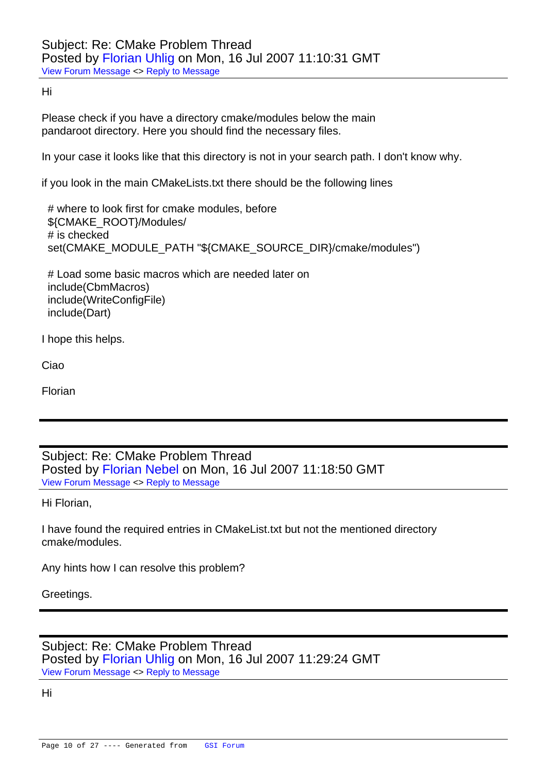Hi

[Please check if yo](https://forum.gsi.de/index.php?t=rview&th=1322&goto=4674#msg_4674)u h[ave a directory](https://forum.gsi.de/index.php?t=post&reply_to=4674) cmake/modules below the main pandaroot directory. Here you should find the necessary files.

In your case it looks like that this directory is not in your search path. I don't know why.

if you look in the main CMakeLists.txt there should be the following lines

 # where to look first for cmake modules, before \${CMAKE\_ROOT}/Modules/ # is checked set(CMAKE\_MODULE\_PATH "\${CMAKE\_SOURCE\_DIR}/cmake/modules")

 # Load some basic macros which are needed later on include(CbmMacros) include(WriteConfigFile) include(Dart)

I hope this helps.

Ciao

Florian

Subject: Re: CMake Problem Thread Posted by Florian Nebel on Mon, 16 Jul 2007 11:18:50 GMT View Forum Message <> Reply to Message

Hi Florian,

[I have found the re](https://forum.gsi.de/index.php?t=rview&th=1322&goto=4675#msg_4675)qu[ired entries in C](https://forum.gsi.de/index.php?t=post&reply_to=4675)MakeList.txt but not the mentioned directory cmake/modules.

Any hints how I can resolve this problem?

Greetings.

Subject: Re: CMake Problem Thread Posted by Florian Uhlig on Mon, 16 Jul 2007 11:29:24 GMT View Forum Message <> Reply to Message

Hi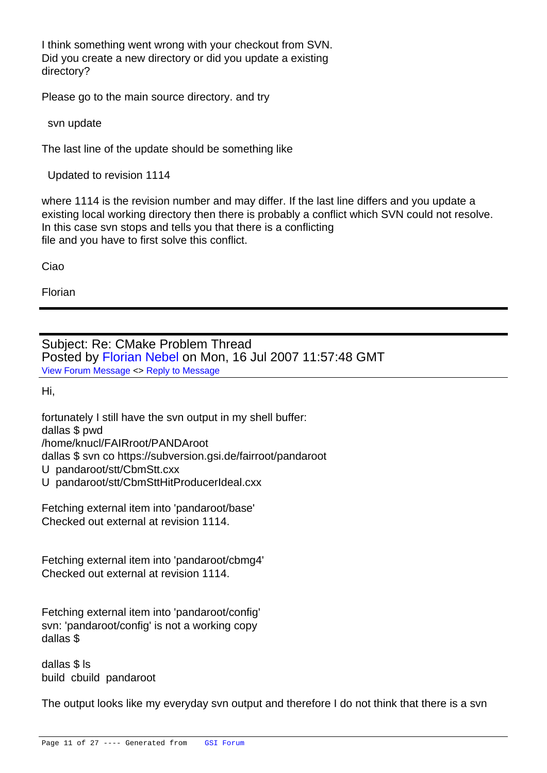I think something went wrong with your checkout from SVN. Did you create a new directory or did you update a existing directory?

Please go to the main source directory. and try

svn update

The last line of the update should be something like

Updated to revision 1114

where 1114 is the revision number and may differ. If the last line differs and you update a existing local working directory then there is probably a conflict which SVN could not resolve. In this case svn stops and tells you that there is a conflicting file and you have to first solve this conflict.

Ciao

Florian

Subject: Re: CMake Problem Thread Posted by Florian Nebel on Mon, 16 Jul 2007 11:57:48 GMT View Forum Message <> Reply to Message

Hi,

[fortunately I still ha](https://forum.gsi.de/index.php?t=rview&th=1322&goto=4678#msg_4678)ve [the svn output](https://forum.gsi.de/index.php?t=post&reply_to=4678) in my shell buffer: dallas \$ pwd /home/knucl/FAIRroot/PANDAroot

dallas \$ svn co https://subversion.gsi.de/fairroot/pandaroot

- U pandaroot/stt/CbmStt.cxx
- U pandaroot/stt/CbmSttHitProducerIdeal.cxx

Fetching external item into 'pandaroot/base' Checked out external at revision 1114.

Fetching external item into 'pandaroot/cbmg4' Checked out external at revision 1114.

Fetching external item into 'pandaroot/config' svn: 'pandaroot/config' is not a working copy dallas \$

dallas \$ ls build cbuild pandaroot

The output looks like my everyday svn output and therefore I do not think that there is a svn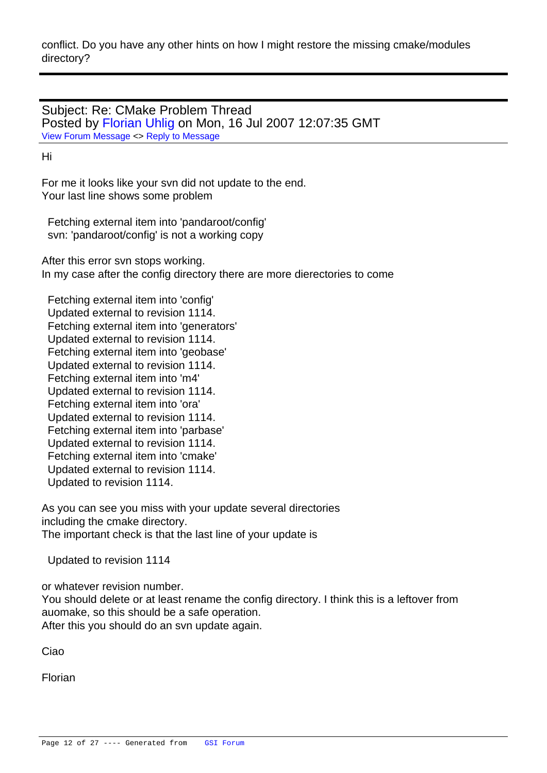Subject: Re: CMake Problem Thread Posted by Florian Uhlig on Mon, 16 Jul 2007 12:07:35 GMT View Forum Message <> Reply to Message

Hi

[For me it looks like](https://forum.gsi.de/index.php?t=rview&th=1322&goto=4679#msg_4679) y[our svn did not u](https://forum.gsi.de/index.php?t=post&reply_to=4679)pdate to the end. Your last line shows some problem

 Fetching external item into 'pandaroot/config' svn: 'pandaroot/config' is not a working copy

After this error svn stops working. In my case after the config directory there are more dierectories to come

 Fetching external item into 'config' Updated external to revision 1114. Fetching external item into 'generators' Updated external to revision 1114. Fetching external item into 'geobase' Updated external to revision 1114. Fetching external item into 'm4' Updated external to revision 1114. Fetching external item into 'ora' Updated external to revision 1114. Fetching external item into 'parbase' Updated external to revision 1114. Fetching external item into 'cmake' Updated external to revision 1114. Updated to revision 1114.

As you can see you miss with your update several directories including the cmake directory. The important check is that the last line of your update is

Updated to revision 1114

or whatever revision number. You should delete or at least rename the config directory. I think this is a leftover from auomake, so this should be a safe operation. After this you should do an svn update again.

Ciao

Florian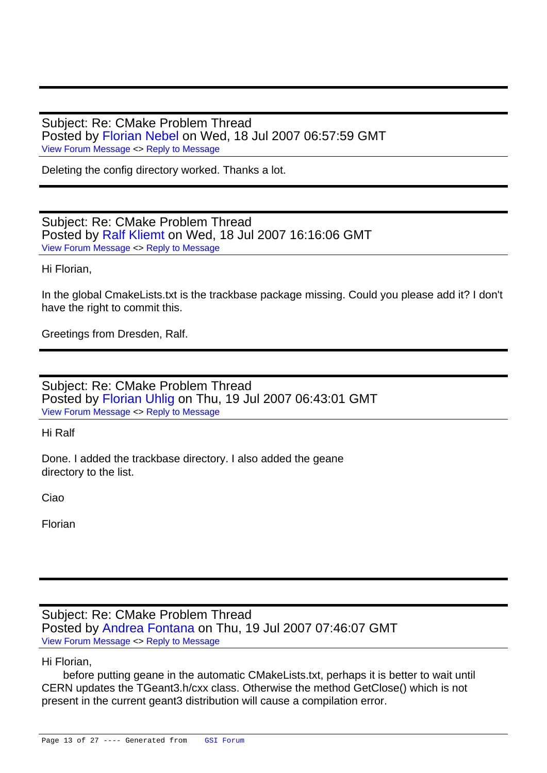Subject: Re: CMake Problem Thread Posted by Florian Nebel on Wed, 18 Jul 2007 06:57:59 GMT View Forum Message <> Reply to Message

Deleting the config directory worked. Thanks a lot.

Subject: Re: CMake Problem Thread Posted by Ralf Kliemt on Wed, 18 Jul 2007 16:16:06 GMT View Forum Message <> Reply to Message

Hi Florian,

[In the global Cmak](https://forum.gsi.de/index.php?t=rview&th=1322&goto=4700#msg_4700)eL[ists.txt is the tra](https://forum.gsi.de/index.php?t=post&reply_to=4700)ckbase package missing. Could you please add it? I don't have the right to commit this.

Greetings from Dresden, Ralf.

Subject: Re: CMake Problem Thread Posted by Florian Uhlig on Thu, 19 Jul 2007 06:43:01 GMT View Forum Message <> Reply to Message

Hi Ralf

[Done. I added the](https://forum.gsi.de/index.php?t=rview&th=1322&goto=4701#msg_4701) tra[ckbase director](https://forum.gsi.de/index.php?t=post&reply_to=4701)y. I also added the geane directory to the list.

Ciao

Florian

Subject: Re: CMake Problem Thread Posted by Andrea Fontana on Thu, 19 Jul 2007 07:46:07 GMT View Forum Message <> Reply to Message

Hi Florian,

 before [putting geane in the](https://forum.gsi.de/index.php?t=usrinfo&id=1001) automatic CMakeLists.txt, perhaps it is better to wait until [CERN updates the](https://forum.gsi.de/index.php?t=rview&th=1322&goto=4702#msg_4702) T[Geant3.h/cxx cla](https://forum.gsi.de/index.php?t=post&reply_to=4702)ss. Otherwise the method GetClose() which is not present in the current geant3 distribution will cause a compilation error.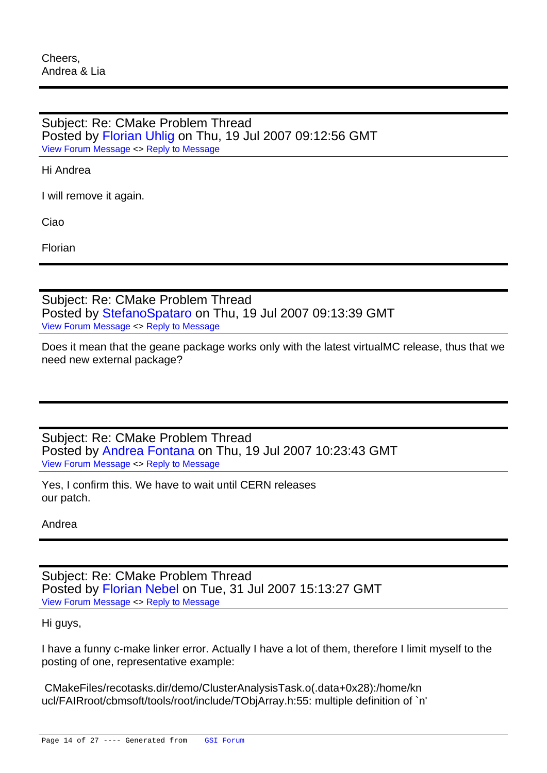Subject: Re: CMake Problem Thread Posted by Florian Uhlig on Thu, 19 Jul 2007 09:12:56 GMT View Forum Message <> Reply to Message

Hi Andrea

[I will remove it aga](https://forum.gsi.de/index.php?t=rview&th=1322&goto=4705#msg_4705)in.

Ciao

Florian

Subject: Re: CMake Problem Thread Posted by StefanoSpataro on Thu, 19 Jul 2007 09:13:39 GMT View Forum Message <> Reply to Message

Does it mean that the geane package works only with the latest virtualMC release, thus that we need new e[xternal package?](https://forum.gsi.de/index.php?t=usrinfo&id=306)

Subject: Re: CMake Problem Thread Posted by Andrea Fontana on Thu, 19 Jul 2007 10:23:43 GMT View Forum Message <> Reply to Message

Yes, I confirm this. We have to wait until CERN releases our patch.

Andrea

Subject: Re: CMake Problem Thread Posted by Florian Nebel on Tue, 31 Jul 2007 15:13:27 GMT View Forum Message <> Reply to Message

Hi guys,

[I have a funny c-m](https://forum.gsi.de/index.php?t=rview&th=1322&goto=4768#msg_4768)ak[e linker error. Ac](https://forum.gsi.de/index.php?t=post&reply_to=4768)tually I have a lot of them, therefore I limit myself to the posting of one, representative example:

 CMakeFiles/recotasks.dir/demo/ClusterAnalysisTask.o(.data+0x28):/home/kn ucl/FAIRroot/cbmsoft/tools/root/include/TObjArray.h:55: multiple definition of `n'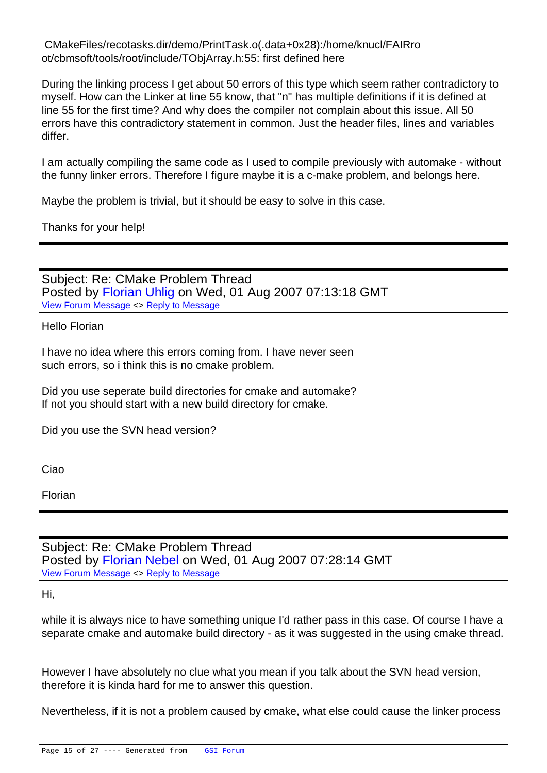CMakeFiles/recotasks.dir/demo/PrintTask.o(.data+0x28):/home/knucl/FAIRro ot/cbmsoft/tools/root/include/TObjArray.h:55: first defined here

During the linking process I get about 50 errors of this type which seem rather contradictory to myself. How can the Linker at line 55 know, that "n" has multiple definitions if it is defined at line 55 for the first time? And why does the compiler not complain about this issue. All 50 errors have this contradictory statement in common. Just the header files, lines and variables differ.

I am actually compiling the same code as I used to compile previously with automake - without the funny linker errors. Therefore I figure maybe it is a c-make problem, and belongs here.

Maybe the problem is trivial, but it should be easy to solve in this case.

Thanks for your help!

Subject: Re: CMake Problem Thread Posted by Florian Uhlig on Wed, 01 Aug 2007 07:13:18 GMT View Forum Message <> Reply to Message

Hello Florian

[I have no idea whe](https://forum.gsi.de/index.php?t=rview&th=1322&goto=4770#msg_4770)re [this errors com](https://forum.gsi.de/index.php?t=post&reply_to=4770)ing from. I have never seen such errors, so i think this is no cmake problem.

Did you use seperate build directories for cmake and automake? If not you should start with a new build directory for cmake.

Did you use the SVN head version?

Ciao

Florian

Subject: Re: CMake Problem Thread Posted by Florian Nebel on Wed, 01 Aug 2007 07:28:14 GMT View Forum Message <> Reply to Message

Hi,

[while it is always n](https://forum.gsi.de/index.php?t=rview&th=1322&goto=4771#msg_4771)ic[e to have someth](https://forum.gsi.de/index.php?t=post&reply_to=4771)ing unique I'd rather pass in this case. Of course I have a separate cmake and automake build directory - as it was suggested in the using cmake thread.

However I have absolutely no clue what you mean if you talk about the SVN head version, therefore it is kinda hard for me to answer this question.

Nevertheless, if it is not a problem caused by cmake, what else could cause the linker process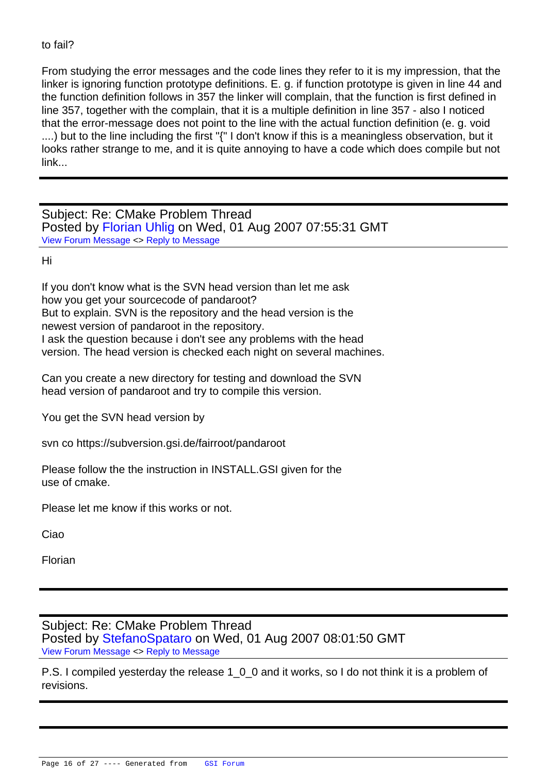to fail:

From studying the error messages and the code lines they refer to it is my impression, that the linker is ignoring function prototype definitions. E. g. if function prototype is given in line 44 and the function definition follows in 357 the linker will complain, that the function is first defined in line 357, together with the complain, that it is a multiple definition in line 357 - also I noticed that the error-message does not point to the line with the actual function definition (e. g. void ....) but to the line including the first "{" I don't know if this is a meaningless observation, but it looks rather strange to me, and it is quite annoying to have a code which does compile but not link...

Subject: Re: CMake Problem Thread Posted by Florian Uhlig on Wed, 01 Aug 2007 07:55:31 GMT View Forum Message <> Reply to Message

Hi

[If you don't know w](https://forum.gsi.de/index.php?t=rview&th=1322&goto=4772#msg_4772)h[at is the SVN he](https://forum.gsi.de/index.php?t=post&reply_to=4772)ad version than let me ask how you get your sourcecode of pandaroot? But to explain. SVN is the repository and the head version is the newest version of pandaroot in the repository. I ask the question because i don't see any problems with the head version. The head version is checked each night on several machines.

Can you create a new directory for testing and download the SVN head version of pandaroot and try to compile this version.

You get the SVN head version by

svn co https://subversion.gsi.de/fairroot/pandaroot

Please follow the the instruction in INSTALL.GSI given for the use of cmake.

Please let me know if this works or not.

Ciao

Florian

Subject: Re: CMake Problem Thread Posted by StefanoSpataro on Wed, 01 Aug 2007 08:01:50 GMT View Forum Message <> Reply to Message

P.S. I compiled yesterday the release 1\_0\_0 and it works, so I do not think it is a problem of revisions.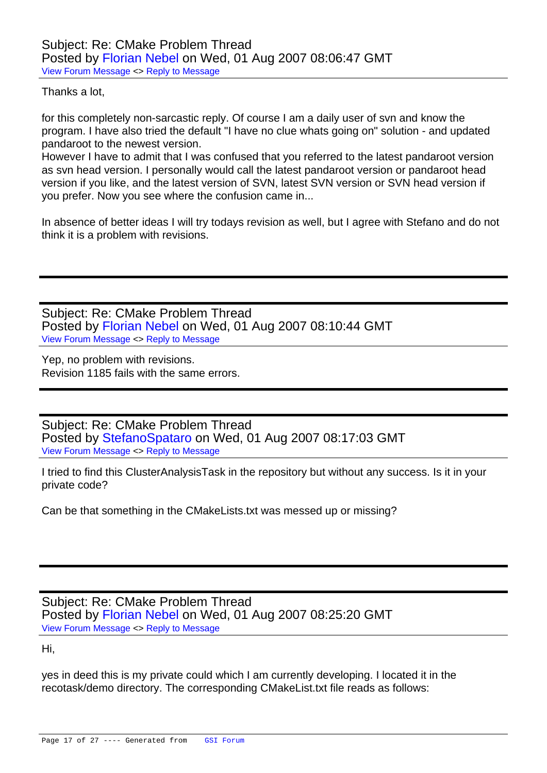Thanks a lot,

[for this completely](https://forum.gsi.de/index.php?t=rview&th=1322&goto=4774#msg_4774) no[n-sarcastic repl](https://forum.gsi.de/index.php?t=post&reply_to=4774)y. Of course I am a daily user of svn and know the program. I have also tried the default "I have no clue whats going on" solution - and updated pandaroot to the newest version.

However I have to admit that I was confused that you referred to the latest pandaroot version as svn head version. I personally would call the latest pandaroot version or pandaroot head version if you like, and the latest version of SVN, latest SVN version or SVN head version if you prefer. Now you see where the confusion came in...

In absence of better ideas I will try todays revision as well, but I agree with Stefano and do not think it is a problem with revisions.

Subject: Re: CMake Problem Thread Posted by Florian Nebel on Wed, 01 Aug 2007 08:10:44 GMT View Forum Message <> Reply to Message

Yep, no problem with revisions. Revision 11[85 fails with the s](https://forum.gsi.de/index.php?t=usrinfo&id=1025)ame errors.

Subject: Re: CMake Problem Thread Posted by StefanoSpataro on Wed, 01 Aug 2007 08:17:03 GMT View Forum Message <> Reply to Message

I tried to find this ClusterAnalysisTask in the repository but without any success. Is it in your private code[?](https://forum.gsi.de/index.php?t=usrinfo&id=306)

Can be that something in the CMakeLists.txt was messed up or missing?

Subject: Re: CMake Problem Thread Posted by Florian Nebel on Wed, 01 Aug 2007 08:25:20 GMT View Forum Message <> Reply to Message

Hi,

[yes in deed this is](https://forum.gsi.de/index.php?t=rview&th=1322&goto=4777#msg_4777) m[y private could w](https://forum.gsi.de/index.php?t=post&reply_to=4777)hich I am currently developing. I located it in the recotask/demo directory. The corresponding CMakeList.txt file reads as follows: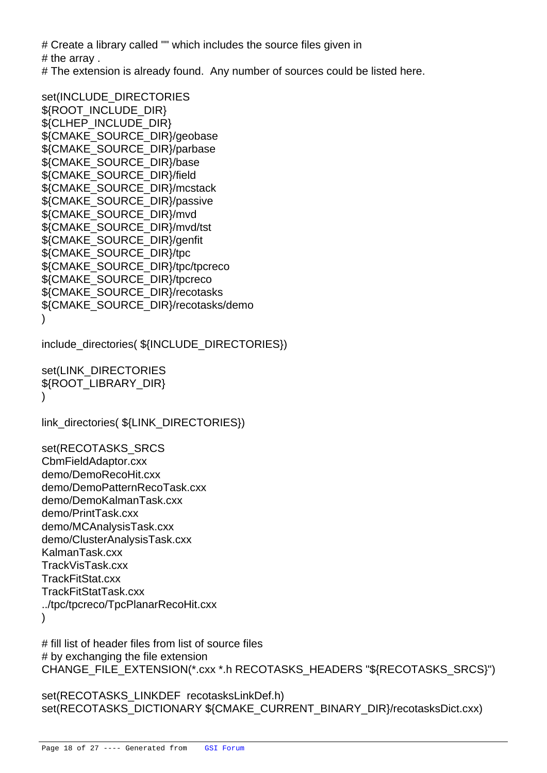$#$  Create a library called  $"$  which includes the source files  $q$ # the array .

# The extension is already found. Any number of sources could be listed here.

set(INCLUDE\_DIRECTORIES \${ROOT\_INCLUDE\_DIR} \${CLHEP\_INCLUDE\_DIR} \${CMAKE\_SOURCE\_DIR}/geobase \${CMAKE\_SOURCE\_DIR}/parbase \${CMAKE\_SOURCE\_DIR}/base \${CMAKE\_SOURCE\_DIR}/field \${CMAKE\_SOURCE\_DIR}/mcstack \${CMAKE\_SOURCE\_DIR}/passive \${CMAKE\_SOURCE\_DIR}/mvd \${CMAKE\_SOURCE\_DIR}/mvd/tst \${CMAKE\_SOURCE\_DIR}/genfit \${CMAKE\_SOURCE\_DIR}/tpc \${CMAKE\_SOURCE\_DIR}/tpc/tpcreco \${CMAKE\_SOURCE\_DIR}/tpcreco \${CMAKE\_SOURCE\_DIR}/recotasks \${CMAKE\_SOURCE\_DIR}/recotasks/demo )

include\_directories(  $$$ {INCLUDE\_DIRECTORIES})

set(LINK\_DIRECTORIES \${ROOT\_LIBRARY\_DIR} )

link\_directories( \${LINK\_DIRECTORIES})

set(RECOTASKS\_SRCS CbmFieldAdaptor.cxx demo/DemoRecoHit.cxx demo/DemoPatternRecoTask.cxx demo/DemoKalmanTask.cxx demo/PrintTask.cxx demo/MCAnalysisTask.cxx demo/ClusterAnalysisTask.cxx KalmanTask.cxx TrackVisTask.cxx TrackFitStat.cxx TrackFitStatTask.cxx ../tpc/tpcreco/TpcPlanarRecoHit.cxx )

# fill list of header files from list of source files # by exchanging the file extension CHANGE\_FILE\_EXTENSION(\*.cxx \*.h RECOTASKS\_HEADERS "\${RECOTASKS\_SRCS}")

set(RECOTASKS\_LINKDEF recotasksLinkDef.h) set(RECOTASKS\_DICTIONARY \${CMAKE\_CURRENT\_BINARY\_DIR}/recotasksDict.cxx)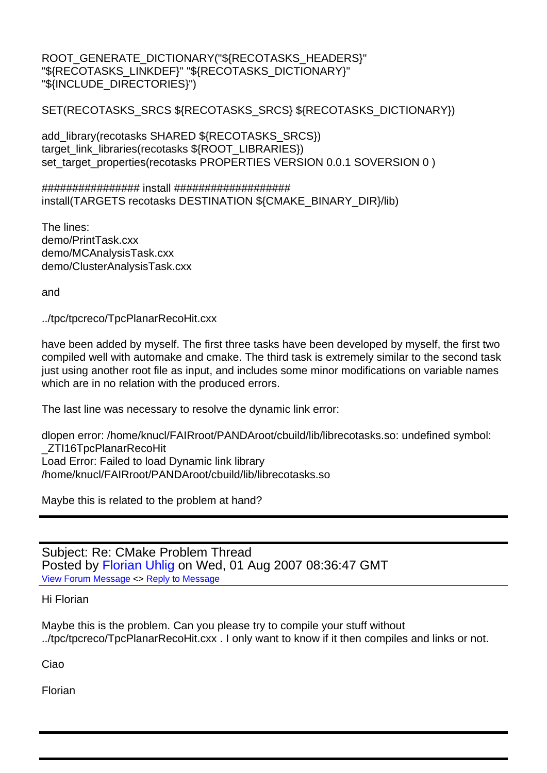ROOT\_GENERATE\_DICTIONARY("\${RECOTASKS\_HEADERS}" "\${RECOTASKS\_LINKDEF}" "\${RECOTASKS\_DICTIONARY}" "\${INCLUDE\_DIRECTORIES}")

SET(RECOTASKS\_SRCS \${RECOTASKS\_SRCS} \${RECOTASKS\_DICTIONARY})

add\_library(recotasks SHARED \${RECOTASKS\_SRCS}) target\_link\_libraries(recotasks \${ROOT\_LIBRARIES}) set\_target\_properties(recotasks PROPERTIES VERSION 0.0.1 SOVERSION 0 )

################ install ################### install(TARGETS recotasks DESTINATION \${CMAKE\_BINARY\_DIR}/lib)

The lines: demo/PrintTask.cxx demo/MCAnalysisTask.cxx demo/ClusterAnalysisTask.cxx

and

../tpc/tpcreco/TpcPlanarRecoHit.cxx

have been added by myself. The first three tasks have been developed by myself, the first two compiled well with automake and cmake. The third task is extremely similar to the second task just using another root file as input, and includes some minor modifications on variable names which are in no relation with the produced errors.

The last line was necessary to resolve the dynamic link error:

dlopen error: /home/knucl/FAIRroot/PANDAroot/cbuild/lib/librecotasks.so: undefined symbol: \_ZTI16TpcPlanarRecoHit Load Error: Failed to load Dynamic link library /home/knucl/FAIRroot/PANDAroot/cbuild/lib/librecotasks.so

Maybe this is related to the problem at hand?

Subject: Re: CMake Problem Thread Posted by Florian Uhlig on Wed, 01 Aug 2007 08:36:47 GMT View Forum Message <> Reply to Message

Hi Florian

[Maybe this is the p](https://forum.gsi.de/index.php?t=rview&th=1322&goto=4778#msg_4778)ro[blem. Can you p](https://forum.gsi.de/index.php?t=post&reply_to=4778)lease try to compile your stuff without ../tpc/tpcreco/TpcPlanarRecoHit.cxx . I only want to know if it then compiles and links or not.

Ciao

Florian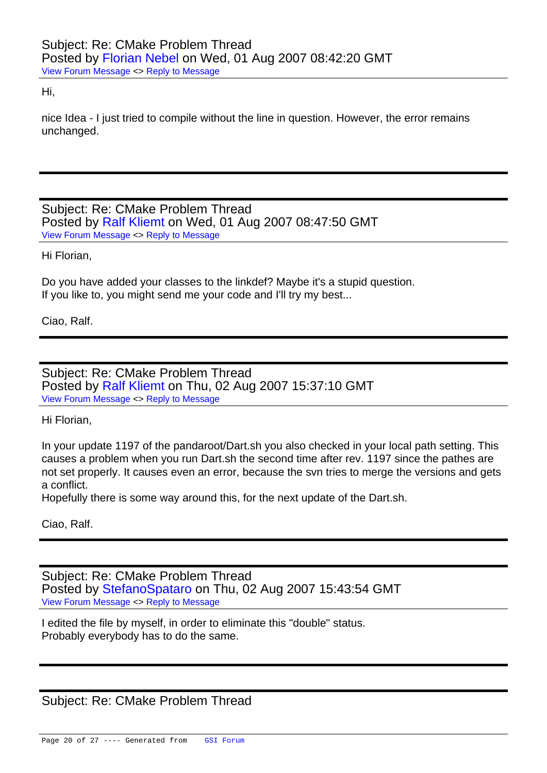Hi,

[nice Idea - I just tri](https://forum.gsi.de/index.php?t=rview&th=1322&goto=4779#msg_4779)ed [to compile with](https://forum.gsi.de/index.php?t=post&reply_to=4779)out the line in question. However, the error remains unchanged.

Subject: Re: CMake Problem Thread Posted by Ralf Kliemt on Wed, 01 Aug 2007 08:47:50 GMT View Forum Message <> Reply to Message

Hi Florian,

[Do you have adde](https://forum.gsi.de/index.php?t=rview&th=1322&goto=4780#msg_4780)d y[our classes to t](https://forum.gsi.de/index.php?t=post&reply_to=4780)he linkdef? Maybe it's a stupid question. If you like to, you might send me your code and I'll try my best...

Ciao, Ralf.

Subject: Re: CMake Problem Thread Posted by Ralf Kliemt on Thu, 02 Aug 2007 15:37:10 GMT View Forum Message <> Reply to Message

Hi Florian,

[In your update 119](https://forum.gsi.de/index.php?t=rview&th=1322&goto=4811#msg_4811)7 [of the pandaroo](https://forum.gsi.de/index.php?t=post&reply_to=4811)t/Dart.sh you also checked in your local path setting. This causes a problem when you run Dart.sh the second time after rev. 1197 since the pathes are not set properly. It causes even an error, because the svn tries to merge the versions and gets a conflict.

Hopefully there is some way around this, for the next update of the Dart.sh.

Ciao, Ralf.

Subject: Re: CMake Problem Thread Posted by StefanoSpataro on Thu, 02 Aug 2007 15:43:54 GMT View Forum Message <> Reply to Message

I edited the file by myself, in order to eliminate this "double" status. Probably ev[erybody has to do t](https://forum.gsi.de/index.php?t=usrinfo&id=306)he same.

Subject: Re: CMake Problem Thread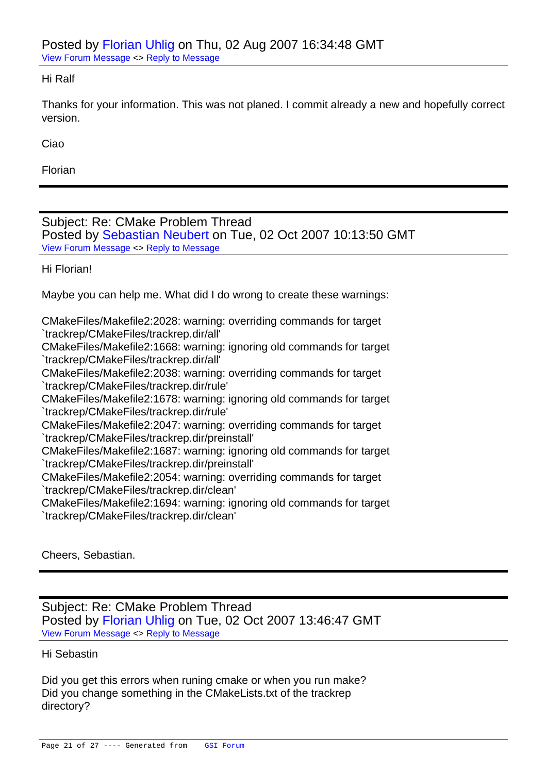#### Hi Ralf

[Thanks for your inf](https://forum.gsi.de/index.php?t=rview&th=1322&goto=4814#msg_4814)or[mation. This wa](https://forum.gsi.de/index.php?t=post&reply_to=4814)s not planed. I commit already a new and hopefully correct version.

Ciao

Florian

Subject: Re: CMake Problem Thread Posted by Sebastian Neubert on Tue, 02 Oct 2007 10:13:50 GMT View Forum Message <> Reply to Message

Hi Florian!

[Maybe you can he](https://forum.gsi.de/index.php?t=rview&th=1322&goto=5141#msg_5141)lp [me. What did I d](https://forum.gsi.de/index.php?t=post&reply_to=5141)o wrong to create these warnings:

CMakeFiles/Makefile2:2028: warning: overriding commands for target `trackrep/CMakeFiles/trackrep.dir/all'

CMakeFiles/Makefile2:1668: warning: ignoring old commands for target `trackrep/CMakeFiles/trackrep.dir/all'

CMakeFiles/Makefile2:2038: warning: overriding commands for target `trackrep/CMakeFiles/trackrep.dir/rule'

CMakeFiles/Makefile2:1678: warning: ignoring old commands for target `trackrep/CMakeFiles/trackrep.dir/rule'

CMakeFiles/Makefile2:2047: warning: overriding commands for target `trackrep/CMakeFiles/trackrep.dir/preinstall'

CMakeFiles/Makefile2:1687: warning: ignoring old commands for target `trackrep/CMakeFiles/trackrep.dir/preinstall'

CMakeFiles/Makefile2:2054: warning: overriding commands for target `trackrep/CMakeFiles/trackrep.dir/clean'

CMakeFiles/Makefile2:1694: warning: ignoring old commands for target `trackrep/CMakeFiles/trackrep.dir/clean'

Cheers, Sebastian.

Subject: Re: CMake Problem Thread Posted by Florian Uhlig on Tue, 02 Oct 2007 13:46:47 GMT View Forum Message <> Reply to Message

### Hi Sebastin

[Did you get this er](https://forum.gsi.de/index.php?t=rview&th=1322&goto=5151#msg_5151)ror[s when runing c](https://forum.gsi.de/index.php?t=post&reply_to=5151)make or when you run make? Did you change something in the CMakeLists.txt of the trackrep directory?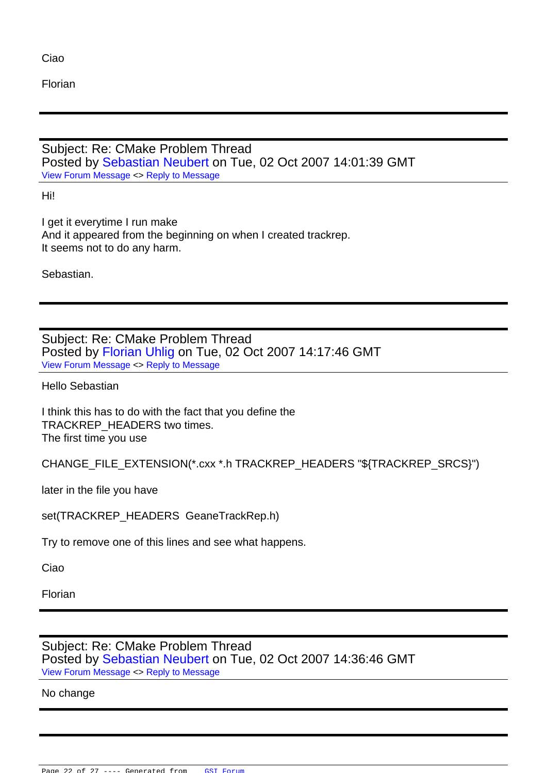Florian

Subject: Re: CMake Problem Thread Posted by Sebastian Neubert on Tue, 02 Oct 2007 14:01:39 GMT View Forum Message <> Reply to Message

Hi!

[I get it everytime I](https://forum.gsi.de/index.php?t=rview&th=1322&goto=5152#msg_5152) ru[n make](https://forum.gsi.de/index.php?t=post&reply_to=5152)  And it appeared from the beginning on when I created trackrep. It seems not to do any harm.

Sebastian.

Subject: Re: CMake Problem Thread Posted by Florian Uhlig on Tue, 02 Oct 2007 14:17:46 GMT View Forum Message <> Reply to Message

Hello Sebastian

[I think this has to d](https://forum.gsi.de/index.php?t=rview&th=1322&goto=5153#msg_5153)o [with the fact tha](https://forum.gsi.de/index.php?t=post&reply_to=5153)t you define the TRACKREP\_HEADERS two times. The first time you use

CHANGE\_FILE\_EXTENSION(\*.cxx \*.h TRACKREP\_HEADERS "\${TRACKREP\_SRCS}")

later in the file you have

set(TRACKREP\_HEADERS GeaneTrackRep.h)

Try to remove one of this lines and see what happens.

Ciao

Florian

Subject: Re: CMake Problem Thread Posted by Sebastian Neubert on Tue, 02 Oct 2007 14:36:46 GMT View Forum Message <> Reply to Message

## No change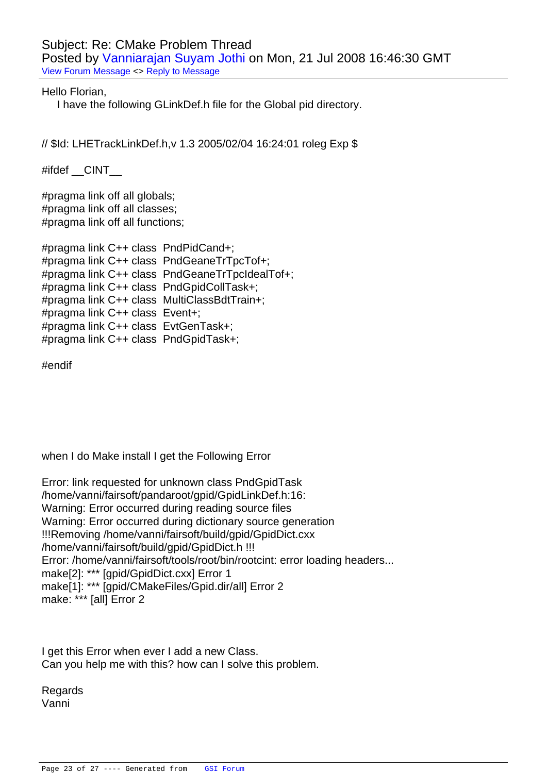Subject: Re: CMake Problem Thread Posted by Vanniarajan Suyam Jothi on Mon, 21 Jul 2008 16:46:30 GMT View Forum Message <> Reply to Message

Hello Florian,

I have th[e following GLinkDef.h file for](https://forum.gsi.de/index.php?t=usrinfo&id=1062) the Global pid directory.

// \$Id: LHETrackLinkDef.h,v 1.3 2005/02/04 16:24:01 roleg Exp \$

#ifdef \_\_CINT\_\_

#pragma link off all globals; #pragma link off all classes; #pragma link off all functions;

#pragma link C++ class PndPidCand+; #pragma link C++ class PndGeaneTrTpcTof+; #pragma link C++ class PndGeaneTrTpcIdealTof+; #pragma link C++ class PndGpidCollTask+; #pragma link C++ class MultiClassBdtTrain+; #pragma link C++ class Event+; #pragma link C++ class EvtGenTask+; #pragma link C++ class PndGpidTask+;

#endif

when I do Make install I get the Following Error

Error: link requested for unknown class PndGpidTask /home/vanni/fairsoft/pandaroot/gpid/GpidLinkDef.h:16: Warning: Error occurred during reading source files Warning: Error occurred during dictionary source generation !!!Removing /home/vanni/fairsoft/build/gpid/GpidDict.cxx /home/vanni/fairsoft/build/gpid/GpidDict.h !!! Error: /home/vanni/fairsoft/tools/root/bin/rootcint: error loading headers... make[2]: \*\*\* [gpid/GpidDict.cxx] Error 1 make[1]: \*\*\* [gpid/CMakeFiles/Gpid.dir/all] Error 2 make: \*\*\* [all] Error 2

I get this Error when ever I add a new Class. Can you help me with this? how can I solve this problem.

Regards Vanni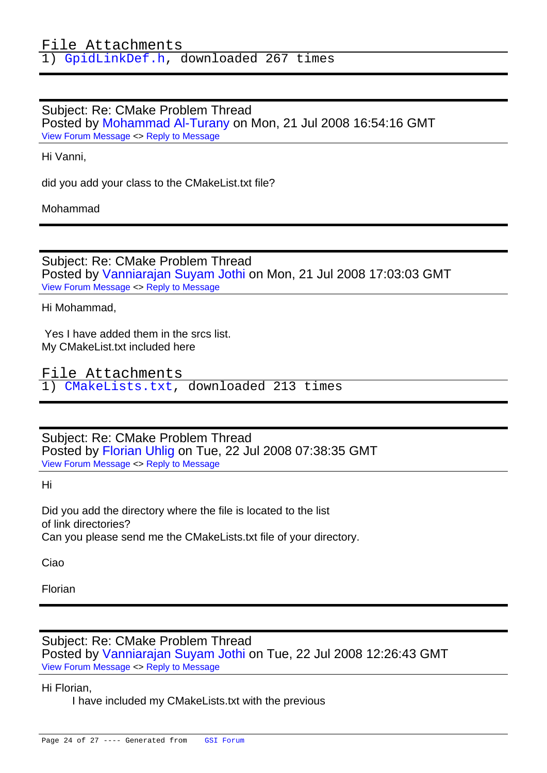Sub[ject: Re: CMake P](https://forum.gsi.de/index.php?t=getfile&id=4628)roblem Thread Posted by Mohammad Al-Turany on Mon, 21 Jul 2008 16:54:16 GMT View Forum Message <> Reply to Message

Hi Vanni,

[did you add your c](https://forum.gsi.de/index.php?t=rview&th=1322&goto=7086#msg_7086)las[s to the CMake](https://forum.gsi.de/index.php?t=post&reply_to=7086)List.txt file?

Mohammad

Subject: Re: CMake Problem Thread Posted by Vanniarajan Suyam Jothi on Mon, 21 Jul 2008 17:03:03 GMT View Forum Message <> Reply to Message

Hi Mohammad,

 [Yes I have added](https://forum.gsi.de/index.php?t=rview&th=1322&goto=7087#msg_7087) th[em in the srcs lis](https://forum.gsi.de/index.php?t=post&reply_to=7087)t. My CMakeList.txt included here

File Attachments 1) CMakeLists.txt, downloaded 213 times

Sub[ject: Re: CMake Pro](https://forum.gsi.de/index.php?t=getfile&id=4629)blem Thread Posted by Florian Uhlig on Tue, 22 Jul 2008 07:38:35 GMT View Forum Message <> Reply to Message

Hi

[Did you add the di](https://forum.gsi.de/index.php?t=rview&th=1322&goto=7090#msg_7090)rec[tory where the f](https://forum.gsi.de/index.php?t=post&reply_to=7090)ile is located to the list of link directories? Can you please send me the CMakeLists.txt file of your directory.

Ciao

Florian

Subject: Re: CMake Problem Thread Posted by Vanniarajan Suyam Jothi on Tue, 22 Jul 2008 12:26:43 GMT View Forum Message <> Reply to Message

Hi Florian,

I have [included my CMakeLists.txt w](https://forum.gsi.de/index.php?t=usrinfo&id=1062)ith the previous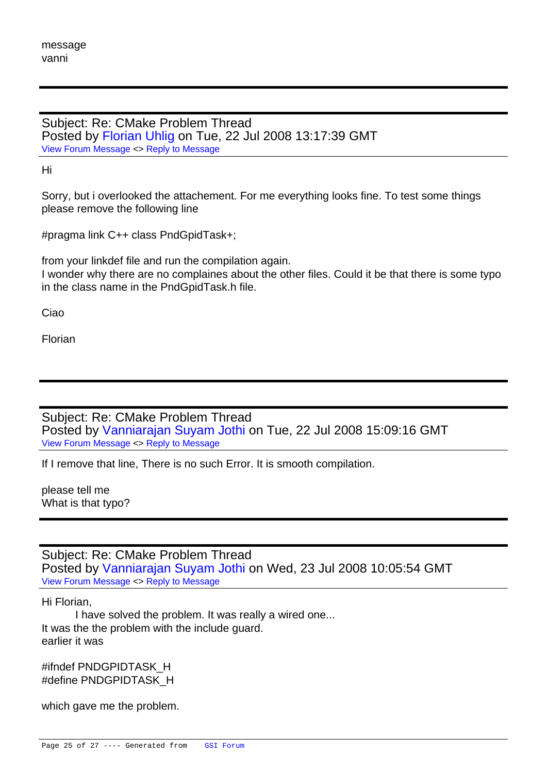Subject: Re: CMake Problem Thread Posted by Florian Uhlig on Tue, 22 Jul 2008 13:17:39 GMT View Forum Message <> Reply to Message

Hi

[Sorry, but i overloo](https://forum.gsi.de/index.php?t=rview&th=1322&goto=7101#msg_7101)ke[d the attacheme](https://forum.gsi.de/index.php?t=post&reply_to=7101)nt. For me everything looks fine. To test some things please remove the following line

#pragma link C++ class PndGpidTask+;

from your linkdef file and run the compilation again.

I wonder why there are no complaines about the other files. Could it be that there is some typo in the class name in the PndGpidTask.h file.

Ciao

Florian

Subject: Re: CMake Problem Thread Posted by Vanniarajan Suyam Jothi on Tue, 22 Jul 2008 15:09:16 GMT View Forum Message <> Reply to Message

If I remove that line, There is no such Error. It is smooth compilation.

[please tell me](https://forum.gsi.de/index.php?t=rview&th=1322&goto=7103#msg_7103)  What is that typo?

Subject: Re: CMake Problem Thread Posted by Vanniarajan Suyam Jothi on Wed, 23 Jul 2008 10:05:54 GMT View Forum Message <> Reply to Message

Hi Florian,

 I hav[e solved the problem. It was re](https://forum.gsi.de/index.php?t=usrinfo&id=1062)ally a wired one... [It was the the prob](https://forum.gsi.de/index.php?t=rview&th=1322&goto=7107#msg_7107)le[m with the includ](https://forum.gsi.de/index.php?t=post&reply_to=7107)e guard. earlier it was

#ifndef PNDGPIDTASK\_H #define PNDGPIDTASK\_H

which gave me the problem.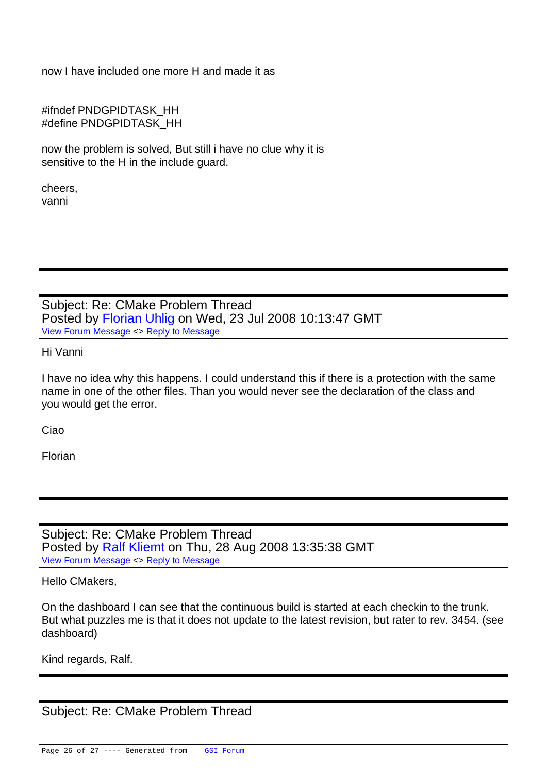now I have included one more H and made it as

#ifndef PNDGPIDTASK\_HH #define PNDGPIDTASK\_HH

now the problem is solved, But still i have no clue why it is sensitive to the H in the include guard.

cheers, vanni

Subject: Re: CMake Problem Thread Posted by Florian Uhlig on Wed, 23 Jul 2008 10:13:47 GMT View Forum Message <> Reply to Message

Hi Vanni

[I have no idea why](https://forum.gsi.de/index.php?t=rview&th=1322&goto=7108#msg_7108) th[is happens. I co](https://forum.gsi.de/index.php?t=post&reply_to=7108)uld understand this if there is a protection with the same name in one of the other files. Than you would never see the declaration of the class and you would get the error.

Ciao

Florian

Subject: Re: CMake Problem Thread Posted by Ralf Kliemt on Thu, 28 Aug 2008 13:35:38 GMT View Forum Message <> Reply to Message

Hello CMakers,

[On the dashboard](https://forum.gsi.de/index.php?t=rview&th=1322&goto=7262#msg_7262) I c[an see that the](https://forum.gsi.de/index.php?t=post&reply_to=7262) continuous build is started at each checkin to the trunk. But what puzzles me is that it does not update to the latest revision, but rater to rev. 3454. (see dashboard)

Kind regards, Ralf.

Subject: Re: CMake Problem Thread